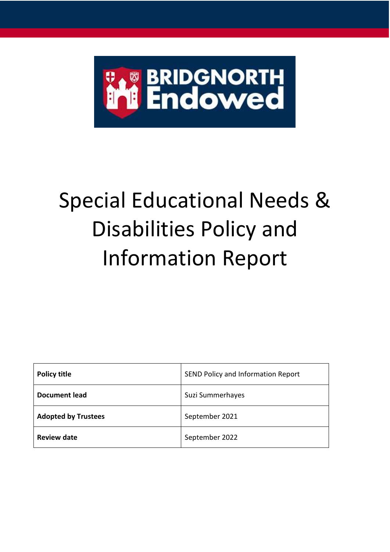

# Special Educational Needs & Disabilities Policy and Information Report

| <b>Policy title</b>        | SEND Policy and Information Report |
|----------------------------|------------------------------------|
| <b>Document lead</b>       | Suzi Summerhayes                   |
| <b>Adopted by Trustees</b> | September 2021                     |
| <b>Review date</b>         | September 2022                     |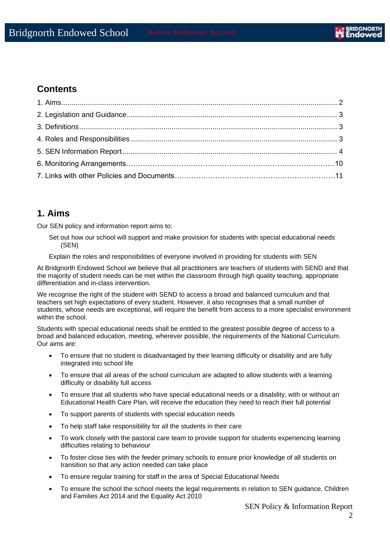## **Contents**

## **1. Aims**

Our SEN policy and information report aims to:

- Set out how our school will support and make provision for students with special educational needs (SEN)
- Explain the roles and responsibilities of everyone involved in providing for students with SEN

At Bridgnorth Endowed School we believe that all practitioners are teachers of students with SEND and that the majority of student needs can be met within the classroom through high quality teaching, appropriate differentiation and in-class intervention.

We recognise the right of the student with SEND to access a broad and balanced curriculum and that teachers set high expectations of every student. However, it also recognises that a small number of students, whose needs are exceptional, will require the benefit from access to a more specialist environment within the school.

Students with special educational needs shall be entitled to the greatest possible degree of access to a broad and balanced education, meeting, wherever possible, the requirements of the National Curriculum. Our aims are:

- To ensure that no student is disadvantaged by their learning difficulty or disability and are fully integrated into school life
- To ensure that all areas of the school curriculum are adapted to allow students with a learning difficulty or disability full access
- To ensure that all students who have special educational needs or a disability, with or without an Educational Health Care Plan, will receive the education they need to reach their full potential
- To support parents of students with special education needs
- To help staff take responsibility for all the students in their care
- To work closely with the pastoral care team to provide support for students experiencing learning difficulties relating to behaviour
- To foster close ties with the feeder primary schools to ensure prior knowledge of all students on transition so that any action needed can take place
- To ensure regular training for staff in the area of Special Educational Needs
- To ensure the school the school meets the legal requirements in relation to SEN guidance, Children and Families Act 2014 and the Equality Act 2010

SEN Policy & Information Report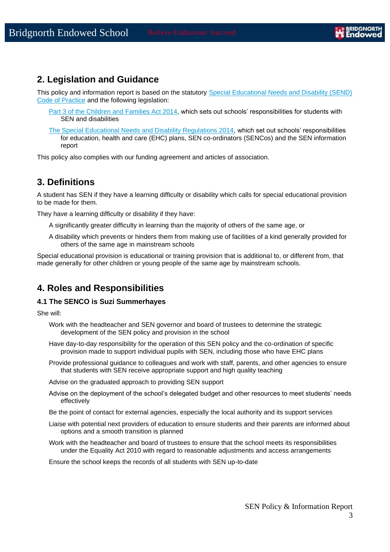## **2. Legislation and Guidance**

This policy and information report is based on the statutory Special Educational Needs and Disability (SEND) [Code of Practice](https://www.gov.uk/government/uploads/system/uploads/attachment_data/file/398815/SEND_Code_of_Practice_January_2015.pdf) and the following legislation:

- Part 3 of [the Children and Families Act 2014,](http://www.legislation.gov.uk/ukpga/2014/6/part/3) which sets out schools' responsibilities for students with SEN and disabilities
- [The Special Educational Needs and Disability Regulations 2014,](http://www.legislation.gov.uk/uksi/2014/1530/contents/made) which set out schools' responsibilities for education, health and care (EHC) plans, SEN co-ordinators (SENCos) and the SEN information report

This policy also complies with our funding agreement and articles of association.

## **3. Definitions**

A student has SEN if they have a learning difficulty or disability which calls for special educational provision to be made for them.

They have a learning difficulty or disability if they have:

- A significantly greater difficulty in learning than the majority of others of the same age, or
- A disability which prevents or hinders them from making use of facilities of a kind generally provided for others of the same age in mainstream schools

Special educational provision is educational or training provision that is additional to, or different from, that made generally for other children or young people of the same age by mainstream schools.

## **4. Roles and Responsibilities**

#### **4.1 The SENCO is Suzi Summerhayes**

She will:

- Work with the headteacher and SEN governor and board of trustees to determine the strategic development of the SEN policy and provision in the school
- Have day-to-day responsibility for the operation of this SEN policy and the co-ordination of specific provision made to support individual pupils with SEN, including those who have EHC plans
- Provide professional guidance to colleagues and work with staff, parents, and other agencies to ensure that students with SEN receive appropriate support and high quality teaching

Advise on the graduated approach to providing SEN support

- Advise on the deployment of the school's delegated budget and other resources to meet students' needs effectively
- Be the point of contact for external agencies, especially the local authority and its support services
- Liaise with potential next providers of education to ensure students and their parents are informed about options and a smooth transition is planned
- Work with the headteacher and board of trustees to ensure that the school meets its responsibilities under the Equality Act 2010 with regard to reasonable adjustments and access arrangements

Ensure the school keeps the records of all students with SEN up-to-date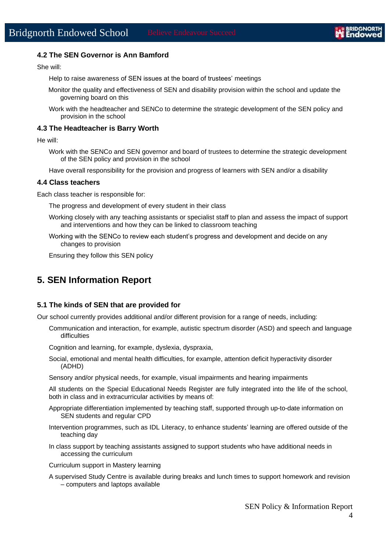#### **4.2 The SEN Governor is Ann Bamford**

She will:

Help to raise awareness of SEN issues at the board of trustees' meetings

- Monitor the quality and effectiveness of SEN and disability provision within the school and update the governing board on this
- Work with the headteacher and SENCo to determine the strategic development of the SEN policy and provision in the school

#### **4.3 The Headteacher is Barry Worth**

He will:

Work with the SENCo and SEN governor and board of trustees to determine the strategic development of the SEN policy and provision in the school

Have overall responsibility for the provision and progress of learners with SEN and/or a disability

#### **4.4 Class teachers**

Each class teacher is responsible for:

The progress and development of every student in their class

- Working closely with any teaching assistants or specialist staff to plan and assess the impact of support and interventions and how they can be linked to classroom teaching
- Working with the SENCo to review each student's progress and development and decide on any changes to provision

Ensuring they follow this SEN policy

## **5. SEN Information Report**

#### **5.1 The kinds of SEN that are provided for**

Our school currently provides additional and/or different provision for a range of needs, including:

Communication and interaction, for example, autistic spectrum disorder (ASD) and speech and language difficulties

Cognition and learning, for example, dyslexia, dyspraxia,

Social, emotional and mental health difficulties, for example, attention deficit hyperactivity disorder (ADHD)

Sensory and/or physical needs, for example, visual impairments and hearing impairments

All students on the Special Educational Needs Register are fully integrated into the life of the school, both in class and in extracurricular activities by means of:

- Appropriate differentiation implemented by teaching staff, supported through up-to-date information on SEN students and regular CPD
- Intervention programmes, such as IDL Literacy, to enhance students' learning are offered outside of the teaching day
- In class support by teaching assistants assigned to support students who have additional needs in accessing the curriculum
- Curriculum support in Mastery learning
- A supervised Study Centre is available during breaks and lunch times to support homework and revision – computers and laptops available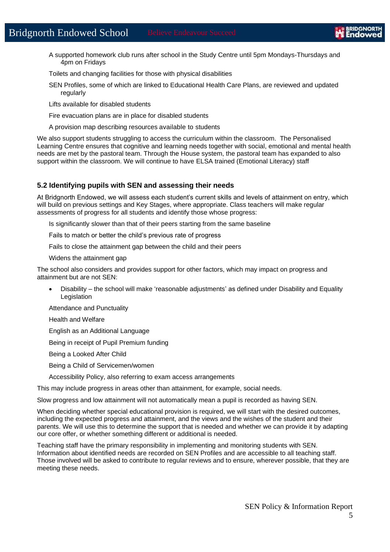A supported homework club runs after school in the Study Centre until 5pm Mondays-Thursdays and 4pm on Fridays

Toilets and changing facilities for those with physical disabilities

SEN Profiles, some of which are linked to Educational Health Care Plans, are reviewed and updated regularly

Lifts available for disabled students

Fire evacuation plans are in place for disabled students

A provision map describing resources available to students

We also support students struggling to access the curriculum within the classroom. The Personalised Learning Centre ensures that cognitive and learning needs together with social, emotional and mental health needs are met by the pastoral team. Through the House system, the pastoral team has expanded to also support within the classroom. We will continue to have ELSA trained (Emotional Literacy) staff

#### **5.2 Identifying pupils with SEN and assessing their needs**

At Bridgnorth Endowed, we will assess each student's current skills and levels of attainment on entry, which will build on previous settings and Key Stages, where appropriate. Class teachers will make regular assessments of progress for all students and identify those whose progress:

Is significantly slower than that of their peers starting from the same baseline

Fails to match or better the child's previous rate of progress

Fails to close the attainment gap between the child and their peers

Widens the attainment gap

The school also considers and provides support for other factors, which may impact on progress and attainment but are not SEN:

• Disability – the school will make 'reasonable adjustments' as defined under Disability and Equality Legislation

Attendance and Punctuality

Health and Welfare

English as an Additional Language

Being in receipt of Pupil Premium funding

Being a Looked After Child

- Being a Child of Servicemen/women
- Accessibility Policy, also referring to exam access arrangements

This may include progress in areas other than attainment, for example, social needs.

Slow progress and low attainment will not automatically mean a pupil is recorded as having SEN.

When deciding whether special educational provision is required, we will start with the desired outcomes, including the expected progress and attainment, and the views and the wishes of the student and their parents. We will use this to determine the support that is needed and whether we can provide it by adapting our core offer, or whether something different or additional is needed.

Teaching staff have the primary responsibility in implementing and monitoring students with SEN. Information about identified needs are recorded on SEN Profiles and are accessible to all teaching staff. Those involved will be asked to contribute to regular reviews and to ensure, wherever possible, that they are meeting these needs.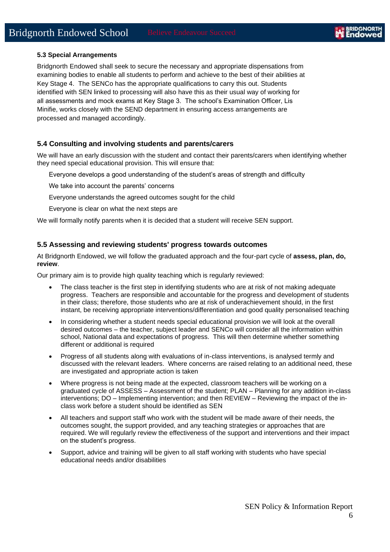#### **5.3 Special Arrangements**

Bridgnorth Endowed shall seek to secure the necessary and appropriate dispensations from examining bodies to enable all students to perform and achieve to the best of their abilities at Key Stage 4. The SENCo has the appropriate qualifications to carry this out. Students identified with SEN linked to processing will also have this as their usual way of working for all assessments and mock exams at Key Stage 3. The school's Examination Officer, Lis Minifie, works closely with the SEND department in ensuring access arrangements are processed and managed accordingly.

#### **5.4 Consulting and involving students and parents/carers**

We will have an early discussion with the student and contact their parents/carers when identifying whether they need special educational provision. This will ensure that:

Everyone develops a good understanding of the student's areas of strength and difficulty

We take into account the parents' concerns

Everyone understands the agreed outcomes sought for the child

Everyone is clear on what the next steps are

We will formally notify parents when it is decided that a student will receive SEN support.

#### **5.5 Assessing and reviewing students' progress towards outcomes**

At Bridgnorth Endowed, we will follow the graduated approach and the four-part cycle of **assess, plan, do, review**.

Our primary aim is to provide high quality teaching which is regularly reviewed:

- The class teacher is the first step in identifying students who are at risk of not making adequate progress. Teachers are responsible and accountable for the progress and development of students in their class; therefore, those students who are at risk of underachievement should, in the first instant, be receiving appropriate interventions/differentiation and good quality personalised teaching
- In considering whether a student needs special educational provision we will look at the overall desired outcomes – the teacher, subject leader and SENCo will consider all the information within school, National data and expectations of progress. This will then determine whether something different or additional is required
- Progress of all students along with evaluations of in-class interventions, is analysed termly and discussed with the relevant leaders. Where concerns are raised relating to an additional need, these are investigated and appropriate action is taken
- Where progress is not being made at the expected, classroom teachers will be working on a graduated cycle of ASSESS – Assessment of the student; PLAN – Planning for any addition in-class interventions; DO – Implementing intervention; and then REVIEW – Reviewing the impact of the inclass work before a student should be identified as SEN
- All teachers and support staff who work with the student will be made aware of their needs, the outcomes sought, the support provided, and any teaching strategies or approaches that are required. We will regularly review the effectiveness of the support and interventions and their impact on the student's progress.
- Support, advice and training will be given to all staff working with students who have special educational needs and/or disabilities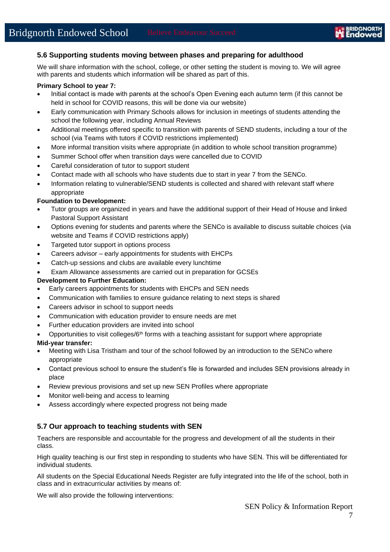#### **5.6 Supporting students moving between phases and preparing for adulthood**

We will share information with the school, college, or other setting the student is moving to. We will agree with parents and students which information will be shared as part of this.

#### **Primary School to year 7:**

- Initial contact is made with parents at the school's Open Evening each autumn term (if this cannot be held in school for COVID reasons, this will be done via our website)
- Early communication with Primary Schools allows for inclusion in meetings of students attending the school the following year, including Annual Reviews
- Additional meetings offered specific to transition with parents of SEND students, including a tour of the school (via Teams with tutors if COVID restrictions implemented)
- More informal transition visits where appropriate (in addition to whole school transition programme)
- Summer School offer when transition days were cancelled due to COVID
- Careful consideration of tutor to support student
- Contact made with all schools who have students due to start in year 7 from the SENCo.
- Information relating to vulnerable/SEND students is collected and shared with relevant staff where appropriate

#### **Foundation to Development:**

- Tutor groups are organized in years and have the additional support of their Head of House and linked Pastoral Support Assistant
- Options evening for students and parents where the SENCo is available to discuss suitable choices (via website and Teams if COVID restrictions apply)
- Targeted tutor support in options process
- Careers advisor early appointments for students with EHCPs
- Catch-up sessions and clubs are available every lunchtime
- Exam Allowance assessments are carried out in preparation for GCSEs

#### **Development to Further Education:**

- Early careers appointments for students with EHCPs and SEN needs
- Communication with families to ensure guidance relating to next steps is shared
- Careers advisor in school to support needs
- Communication with education provider to ensure needs are met
- Further education providers are invited into school

Opportunities to visit colleges/ $6<sup>th</sup>$  forms with a teaching assistant for support where appropriate

#### **Mid-year transfer:**

- Meeting with Lisa Tristham and tour of the school followed by an introduction to the SENCo where appropriate
- Contact previous school to ensure the student's file is forwarded and includes SEN provisions already in place
- Review previous provisions and set up new SEN Profiles where appropriate
- Monitor well-being and access to learning
- Assess accordingly where expected progress not being made

#### **5.7 Our approach to teaching students with SEN**

Teachers are responsible and accountable for the progress and development of all the students in their class.

High quality teaching is our first step in responding to students who have SEN. This will be differentiated for individual students.

All students on the Special Educational Needs Register are fully integrated into the life of the school, both in class and in extracurricular activities by means of:

We will also provide the following interventions: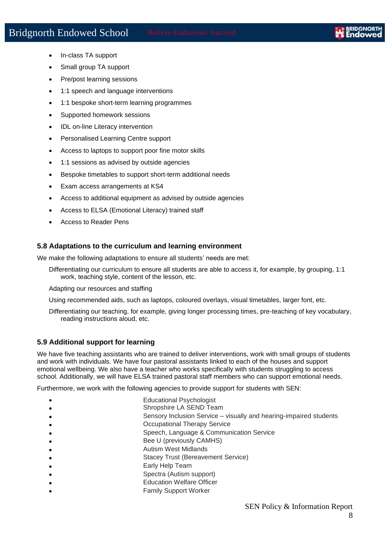- In-class TA support
- Small group TA support
- Pre/post learning sessions
- 1:1 speech and language interventions
- 1:1 bespoke short-term learning programmes
- Supported homework sessions
- IDL on-line Literacy intervention
- Personalised Learning Centre support
- Access to laptops to support poor fine motor skills
- 1:1 sessions as advised by outside agencies
- Bespoke timetables to support short-term additional needs
- Exam access arrangements at KS4
- Access to additional equipment as advised by outside agencies
- Access to ELSA (Emotional Literacy) trained staff
- Access to Reader Pens

#### **5.8 Adaptations to the curriculum and learning environment**

We make the following adaptations to ensure all students' needs are met:

Differentiating our curriculum to ensure all students are able to access it, for example, by grouping, 1:1 work, teaching style, content of the lesson, etc.

Adapting our resources and staffing

Using recommended aids, such as laptops, coloured overlays, visual timetables, larger font, etc.

Differentiating our teaching, for example, giving longer processing times, pre-teaching of key vocabulary, reading instructions aloud, etc.

#### **5.9 Additional support for learning**

We have five teaching assistants who are trained to deliver interventions, work with small groups of students and work with individuals. We have four pastoral assistants linked to each of the houses and support emotional wellbeing. We also have a teacher who works specifically with students struggling to access school. Additionally, we will have ELSA trained pastoral staff members who can support emotional needs.

Furthermore, we work with the following agencies to provide support for students with SEN:

- Educational Psychologist
- Shropshire LA SEND Team
- Sensory Inclusion Service visually and hearing-impaired students
- **Occupational Therapy Service** 
	- Speech, Language & Communication Service
- Bee U (previously CAMHS)
- Autism West Midlands
- Stacey Trust (Bereavement Service)
- Early Help Team
- Spectra (Autism support)
- Education Welfare Officer
- Family Support Worker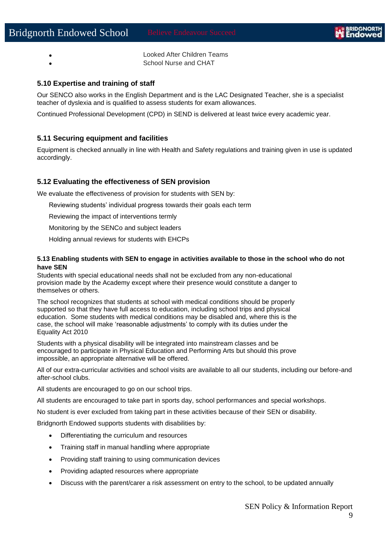• Looked After Children Teams • School Nurse and CHAT

#### **5.10 Expertise and training of staff**

Our SENCO also works in the English Department and is the LAC Designated Teacher, she is a specialist teacher of dyslexia and is qualified to assess students for exam allowances.

Continued Professional Development (CPD) in SEND is delivered at least twice every academic year.

#### **5.11 Securing equipment and facilities**

Equipment is checked annually in line with Health and Safety regulations and training given in use is updated accordingly.

#### **5.12 Evaluating the effectiveness of SEN provision**

We evaluate the effectiveness of provision for students with SEN by:

Reviewing students' individual progress towards their goals each term

Reviewing the impact of interventions termly

Monitoring by the SENCo and subject leaders

Holding annual reviews for students with EHCPs

#### **5.13 Enabling students with SEN to engage in activities available to those in the school who do not have SEN**

Students with special educational needs shall not be excluded from any non-educational provision made by the Academy except where their presence would constitute a danger to themselves or others.

The school recognizes that students at school with medical conditions should be properly supported so that they have full access to education, including school trips and physical education. Some students with medical conditions may be disabled and, where this is the case, the school will make 'reasonable adjustments' to comply with its duties under the Equality Act 2010

Students with a physical disability will be integrated into mainstream classes and be encouraged to participate in Physical Education and Performing Arts but should this prove impossible, an appropriate alternative will be offered.

All of our extra-curricular activities and school visits are available to all our students, including our before-and after-school clubs.

All students are encouraged to go on our school trips.

All students are encouraged to take part in sports day, school performances and special workshops.

No student is ever excluded from taking part in these activities because of their SEN or disability.

Bridgnorth Endowed supports students with disabilities by:

- Differentiating the curriculum and resources
- Training staff in manual handling where appropriate
- Providing staff training to using communication devices
- Providing adapted resources where appropriate
- Discuss with the parent/carer a risk assessment on entry to the school, to be updated annually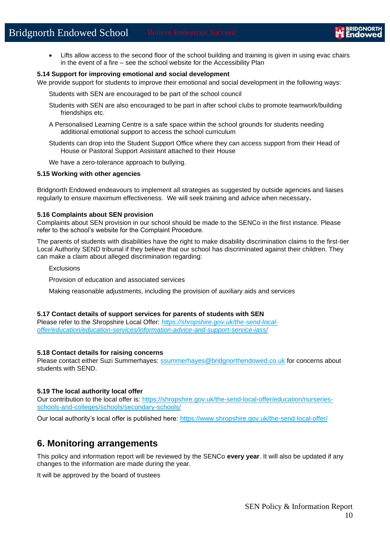• Lifts allow access to the second floor of the school building and training is given in using evac chairs in the event of a fire – see the school website for the Accessibility Plan

#### **5.14 Support for improving emotional and social development**

We provide support for students to improve their emotional and social development in the following ways:

Students with SEN are encouraged to be part of the school council

- Students with SEN are also encouraged to be part in after school clubs to promote teamwork/building friendships etc.
- A Personalised Learning Centre is a safe space within the school grounds for students needing additional emotional support to access the school curriculum
- Students can drop into the Student Support Office where they can access support from their Head of House or Pastoral Support Assistant attached to their House
- We have a zero-tolerance approach to bullying.

#### **5.15 Working with other agencies**

Bridgnorth Endowed endeavours to implement all strategies as suggested by outside agencies and liaises regularly to ensure maximum effectiveness. We will seek training and advice when necessary**.**

#### **5.16 Complaints about SEN provision**

Complaints about SEN provision in our school should be made to the SENCo in the first instance. Please refer to the school's website for the Complaint Procedure.

The parents of students with disabilities have the right to make disability discrimination claims to the first-tier Local Authority SEND tribunal if they believe that our school has discriminated against their children. They can make a claim about alleged discrimination regarding:

Exclusions

Provision of education and associated services

Making reasonable adjustments, including the provision of auxiliary aids and services

#### **5.17 Contact details of support services for parents of students with SEN**

Please refer to the Shropshire Local Offer: *[https://shropshire.gov.uk/the-send-local](https://shropshire.gov.uk/the-send-local-offer/education/education-services/information-advice-and-support-service-iass/)[offer/education/education-services/information-advice-and-support-service-iass/](https://shropshire.gov.uk/the-send-local-offer/education/education-services/information-advice-and-support-service-iass/)*

#### **5.18 Contact details for raising concerns**

Please contact either Suzi Summerhayes: [ssummerhayes@bridgnorthendowed.co.uk](mailto:ssummerhayes@bridgnorthendowed.co.uk) for concerns about students with SEND.

#### **5.19 The local authority local offer**

Our contribution to the local offer is: [https://shropshire.gov.uk/the-send-local-offer/education/nurseries](https://shropshire.gov.uk/the-send-local-offer/education/nurseries-schools-and-colleges/schools/secondary-schools/)[schools-and-colleges/schools/secondary-schools/](https://shropshire.gov.uk/the-send-local-offer/education/nurseries-schools-and-colleges/schools/secondary-schools/)

Our local authority's local offer is published here:<https://www.shropshire.gov.uk/the-send-local-offer/>

### **6. Monitoring arrangements**

This policy and information report will be reviewed by the SENCo **every year**. It will also be updated if any changes to the information are made during the year.

It will be approved by the board of trustees